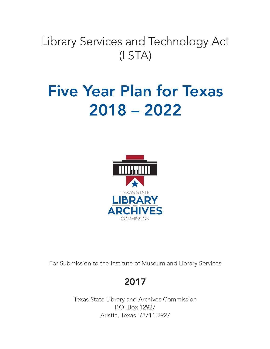# Library Services and Technology Act  $(LSTA)$

# **Five Year Plan for Texas**  $2018 - 2022$



For Submission to the Institute of Museum and Library Services

## 2017

Texas State Library and Archives Commission P.O. Box 12927 Austin, Texas 78711-2927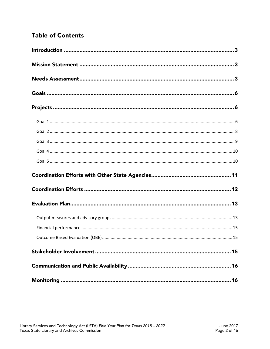## **Table of Contents**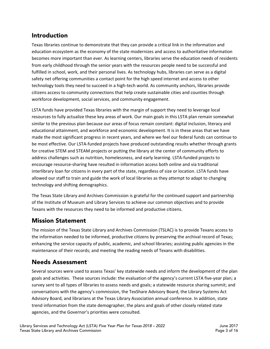## <span id="page-2-0"></span>Introduction

Texas libraries continue to demonstrate that they can provide a critical link in the information and education ecosystem as the economy of the state modernizes and access to authoritative information becomes more important than ever. As learning centers, libraries serve the education needs of residents from early childhood through the senior years with the resources people need to be successful and fulfilled in school, work, and their personal lives. As technology hubs, libraries can serve as a digital safety net offering communities a contact point for the high speed internet and access to other technology tools they need to succeed in a high-tech world. As community anchors, libraries provide citizens access to community connections that help create sustainable cities and counties through workforce development, social services, and community engagement.

LSTA funds have provided Texas libraries with the margin of support they need to leverage local resources to fully actualize these key areas of work. Our main goals in this LSTA plan remain somewhat similar to the previous plan because our areas of focus remain constant: digital inclusion, literacy and educational attainment, and workforce and economic development. It is in these areas that we have made the most significant progress in recent years, and where we feel our federal funds can continue to be most effective. Our LSTA-funded projects have produced outstanding results whether through grants for creative STEM and STEAM projects or putting the library at the center of community efforts to address challenges such as nutrition, homelessness, and early learning. LSTA-funded projects to encourage resource-sharing have resulted in information access both online and via traditional interlibrary loan for citizens in every part of the state, regardless of size or location. LSTA funds have allowed our staff to train and guide the work of local libraries as they attempt to adapt to changing technology and shifting demographics.

The Texas State Library and Archives Commission is grateful for the continued support and partnership of the Institute of Museum and Library Services to achieve our common objectives and to provide Texans with the resources they need to be informed and productive citizens.

## Mission Statement

The mission of the Texas State Library and Archives Commission (TSLAC) is to provide Texans access to the information needed to be informed, productive citizens by preserving the archival record of Texas; enhancing the service capacity of public, academic, and school libraries; assisting public agencies in the maintenance of their records; and meeting the reading needs of Texans with disabilities.

## Needs Assessment

Several sources were used to assess Texas' key statewide needs and inform the development of the plan goals and activities. These sources include: the evaluation of the agency's current LSTA five-year plan; a survey sent to all types of libraries to assess needs and goals; a statewide resource sharing summit; and conversations with the agency's commission, the TexShare Advisory Board, the Library Systems Act Advisory Board, and librarians at the Texas Library Association annual conference. In addition, state trend information from the state demographer, the plans and goals of other closely related state agencies, and the Governor's priorities were consulted.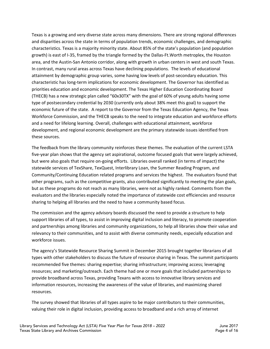Texas is a growing and very diverse state across many dimensions. There are strong regional differences and disparities across the state in terms of population trends, economic challenges, and demographic characteristics. Texas is a majority minority state. About 85% of the state's population (and population growth) is east of I-35, framed by the triangle formed by the Dallas-Ft.Worth metroplex, the Houston area, and the Austin-San Antonio corridor, along with growth in urban centers in west and south Texas. In contrast, many rural areas across Texas have declining populations. The levels of educational attainment by demographic group varies, some having low levels of post-secondary education. This characteristic has long-term implications for economic development. The Governor has identified as priorities education and economic development. The Texas Higher Education Coordinating Board (THECB) has a new strategic plan called "60x30TX" with the goal of 60% of young adults having some type of postsecondary credential by 2030 (currently only about 38% meet this goal) to support the economic future of the state. A report to the Governor from the Texas Education Agency, the Texas Workforce Commission, and the THECB speaks to the need to integrate education and workforce efforts and a need for lifelong learning. Overall, challenges with educational attainment, workforce development, and regional economic development are the primary statewide issues identified from these sources.

The feedback from the library community reinforces these themes. The evaluation of the current LSTA five-year plan shows that the agency set aspirational, outcome focused goals that were largely achieved, but were also goals that require on-going efforts. Libraries overall ranked (in terms of impact) the statewide services of TexShare, TexQuest, Interlibrary Loan, the Summer Reading Program, and Community/Continuing Education related programs and services the highest. The evaluators found that other programs, such as the competitive grants, also contributed significantly to meeting the plan goals, but as these programs do not reach as many libraries, were not as highly ranked. Comments from the evaluators and the libraries especially noted the importance of statewide cost efficiencies and resource sharing to helping all libraries and the need to have a community based focus.

The commission and the agency advisory boards discussed the need to provide a structure to help support libraries of all types, to assist in improving digital inclusion and literacy, to promote cooperation and partnerships among libraries and community organizations, to help all libraries show their value and relevancy to their communities, and to assist with diverse community needs, especially education and workforce issues.

The agency's Statewide Resource Sharing Summit in December 2015 brought together librarians of all types with other stakeholders to discuss the future of resource sharing in Texas. The summit participants recommended five themes: sharing expertise; sharing infrastructure; improving access; leveraging resources; and marketing/outreach. Each theme had one or more goals that included partnerships to provide broadband across Texas, providing Texans with access to innovative library services and information resources, increasing the awareness of the value of libraries, and maximizing shared resources.

The survey showed that libraries of all types aspire to be major contributors to their communities, valuing their role in digital inclusion, providing access to broadband and a rich array of internet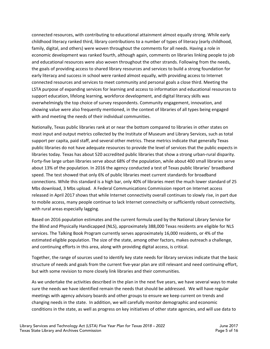connected resources, with contributing to educational attainment almost equally strong. While early childhood literacy ranked third, library contributions to a number of types of literacy (early childhood, family, digital, and others) were woven throughout the comments for all needs. Having a role in economic development was ranked fourth, although again, comments on libraries linking people to job and educational resources were also woven throughout the other strands. Following from the needs, the goals of providing access to shared library resources and services to build a strong foundation for early literacy and success in school were ranked almost equally, with providing access to Internet connected resources and services to meet community and personal goals a close third. Meeting the LSTA purpose of expanding services for learning and access to information and educational resources to support education, lifelong learning, workforce development, and digital literacy skills was overwhelmingly the top choice of survey respondents. Community engagement, innovation, and showing value were also frequently mentioned, in the context of libraries of all types being engaged with and meeting the needs of their individual communities.

Nationally, Texas public libraries rank at or near the bottom compared to libraries in other states on most input and output metrics collected by the Institute of Museum and Library Services, such as total support per capita, paid staff, and several other metrics. These metrics indicate that generally Texas public libraries do not have adequate resources to provide the level of services that the public expects in libraries today. Texas has about 520 accredited public libraries that show a strong urban-rural disparity. Forty-five large urban libraries serve about 68% of the population, while about 400 small libraries serve about 13% of the population. In 2016 the agency conducted a test of Texas public libraries' broadband speed. The test showed that only 6% of public libraries meet current standards for broadband connections. While this standard is a high bar, only 40% of libraries meet the much lower standard of 25 Mbs download, 3 Mbs upload. A Federal Communications Commission report on Internet access released in April 2017 shows that while Internet connectivity overall continues to slowly rise, in part due to mobile access, many people continue to lack Internet connectivity or sufficiently robust connectivity, with rural areas especially lagging.

Based on 2016 population estimates and the current formula used by the National Library Service for the Blind and Physically Handicapped (NLS), approximately 388,000 Texas residents are eligible for NLS services. The Talking Book Program currently serves approximately 16,000 residents, or 4% of the estimated eligible population. The size of the state, among other factors, makes outreach a challenge, and continuing efforts in this area, along with providing digital access, is critical.

Together, the range of sources used to identify key state needs for library services indicate that the basic structure of needs and goals from the current five-year plan are still relevant and need continuing effort, but with some revision to more closely link libraries and their communities.

As we undertake the activities described in the plan in the next five years, we have several ways to make sure the needs we have identified remain the needs that should be addressed. We will have regular meetings with agency advisory boards and other groups to ensure we keep current on trends and changing needs in the state. In addition, we will carefully monitor demographic and economic conditions in the state, as well as progress on key initiatives of other state agencies, and will use data to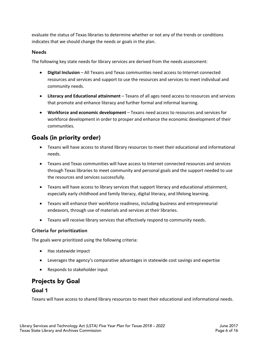<span id="page-5-0"></span>evaluate the status of Texas libraries to determine whether or not any of the trends or conditions indicates that we should change the needs or goals in the plan.

#### Needs

The following key state needs for library services are derived from the needs assessment:

- **Digital Inclusion** All Texans and Texas communities need access to Internet connected resources and services and support to use the resources and services to meet individual and community needs.
- **Literacy and Educational attainment**  Texans of all ages need access to resources and services that promote and enhance literacy and further formal and informal learning.
- **Workforce and economic development**  Texans need access to resources and services for workforce development in order to prosper and enhance the economic development of their communities.

## Goals (in priority order)

- Texans will have access to shared library resources to meet their educational and informational needs.
- Texans and Texas communities will have access to Internet connected resources and services through Texas libraries to meet community and personal goals and the support needed to use the resources and services successfully.
- Texans will have access to library services that support literacy and educational attainment, especially early childhood and family literacy, digital literacy, and lifelong learning.
- Texans will enhance their workforce readiness, including business and entrepreneurial endeavors, through use of materials and services at their libraries.
- Texans will receive library services that effectively respond to community needs.

#### Criteria for prioritization

The goals were prioritized using the following criteria:

- Has statewide impact
- Leverages the agency's comparative advantages in statewide cost savings and expertise
- Responds to stakeholder input

## Projects by Goal

#### Goal 1

Texans will have access to shared library resources to meet their educational and informational needs.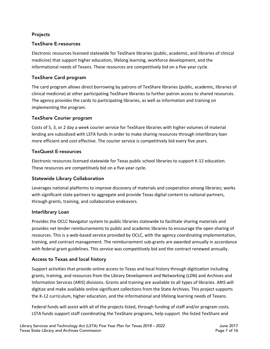#### Projects

#### TexShare E-resources

Electronic resources licensed statewide for TexShare libraries (public, academic, and libraries of clinical medicine) that support higher education, lifelong learning, workforce development, and the informational needs of Texans. These resources are competitively bid on a five-year cycle.

#### TexShare Card program

The card program allows direct borrowing by patrons of TexShare libraries (public, academic, libraries of clinical medicine) at other participating TexShare libraries to further patron access to shared resources. The agency provides the cards to participating libraries, as well as information and training on implementing the program.

#### TexShare Courier program

Costs of 5, 3, or 2 day a week courier service for TexShare libraries with higher volumes of material lending are subsidized with LSTA funds in order to make sharing resources through interlibrary loan more efficient and cost effective. The courier service is competitively bid every five years.

#### TexQuest E-resources

Electronic resources licensed statewide for Texas public school libraries to support K-12 education. These resources are competitively bid on a five-year cycle.

#### Statewide Library Collaboration

Leverages national platforms to improve discovery of materials and cooperation among libraries; works with significant state partners to aggregate and provide Texas digital content to national partners, through grants, training, and collaborative endeavors.

#### Interlibrary Loan

Provides the OCLC Navigator system to public libraries statewide to facilitate sharing materials and provides net lender reimbursements to public and academic libraries to encourage the open sharing of resources. This is a web-based service provided by OCLC, with the agency coordinating implementation, training, and contract management. The reimbursement sub-grants are awarded annually in accordance with federal grant guidelines. This service was competitively bid and the contract renewed annually.

#### Access to Texas and local history

Support activities that provide online access to Texas and local history through digitization including grants, training, and resources from the Library Development and Networking (LDN) and Archives and Information Services (ARIS) divisions. Grants and training are available to all types of libraries. ARIS will digitize and make available online significant collections from the State Archives. This project supports the K-12 curriculum, higher education, and the informational and lifelong learning needs of Texans.

Federal funds will assist with all of the projects listed, through funding of staff and/or program costs. LSTA funds support staff coordinating the TexShare programs, help support the listed TexShare and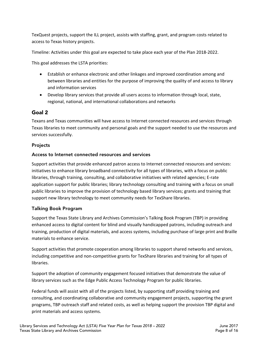<span id="page-7-0"></span>TexQuest projects, support the ILL project, assists with staffing, grant, and program costs related to access to Texas history projects.

Timeline: Activities under this goal are expected to take place each year of the Plan 2018-2022.

This goal addresses the LSTA priorities:

- Establish or enhance electronic and other linkages and improved coordination among and between libraries and entities for the purpose of improving the quality of and access to library and information services
- Develop library services that provide all users access to information through local, state, regional, national, and international collaborations and networks

#### Goal 2

Texans and Texas communities will have access to Internet connected resources and services through Texas libraries to meet community and personal goals and the support needed to use the resources and services successfully.

#### Projects

#### Access to Internet connected resources and services

Support activities that provide enhanced patron access to Internet connected resources and services: initiatives to enhance library broadband connectivity for all types of libraries, with a focus on public libraries, through training, consulting, and collaborative initiatives with related agencies; E-rate application support for public libraries; library technology consulting and training with a focus on small public libraries to improve the provision of technology based library services; grants and training that support new library technology to meet community needs for TexShare libraries.

#### Talking Book Program

Support the Texas State Library and Archives Commission's Talking Book Program (TBP) in providing enhanced access to digital content for blind and visually handicapped patrons, including outreach and training, production of digital materials, and access systems, including purchase of large print and Braille materials to enhance service.

Support activities that promote cooperation among libraries to support shared networks and services, including competitive and non-competitive grants for TexShare libraries and training for all types of libraries.

Support the adoption of community engagement focused initiatives that demonstrate the value of library services such as the Edge Public Access Technology Program for public libraries.

Federal funds will assist with all of the projects listed, by supporting staff providing training and consulting, and coordinating collaborative and community engagement projects, supporting the grant programs, TBP outreach staff and related costs, as well as helping support the provision TBP digital and print materials and access systems.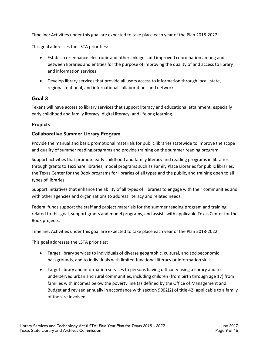<span id="page-8-0"></span>Timeline: Activities under this goal are expected to take place each year of the Plan 2018-2022.

This goal addresses the LSTA priorities:

- Establish or enhance electronic and other linkages and improved coordination among and between libraries and entities for the purpose of improving the quality of and access to library and information services
- Develop library services that provide all users access to information through local, state, regional, national, and international collaborations and networks

#### Goal 3

Texans will have access to library services that support literacy and educational attainment, especially early childhood and family literacy, digital literacy, and lifelong learning.

#### Projects

#### Collaborative Summer Library Program

Provide the manual and basic promotional materials for public libraries statewide to improve the scope and quality of summer reading programs and provide training on the summer reading program.

Support activities that promote early childhood and family literacy and reading programs in libraries through grants to TexShare libraries, model programs such as Family Place Libraries for public libraries, the Texas Center for the Book programs for libraries of all types and the public, and training open to all types of libraries.

Support initiatives that enhance the ability of all types of libraries to engage with their communities and with other agencies and organizations to address literacy and related needs.

Federal funds support the staff and project materials for the summer reading program and training related to this goal, support grants and model programs, and assists with applicable Texas Center for the Book projects.

Timeline: Activities under this goal are expected to take place each year of the Plan 2018-2022.

This goal addresses the LSTA priorities:

- Target library services to individuals of diverse geographic, cultural, and socioeconomic backgrounds, and to individuals with limited functional literacy or information skills
- Target library and information services to persons having difficulty using a library and to underserved urban and rural communities, including children (from birth through age 17) from families with incomes below the poverty line (as defined by the Office of Management and Budget and revised annually in accordance with section 9902(2) of title 42) applicable to a family of the size involved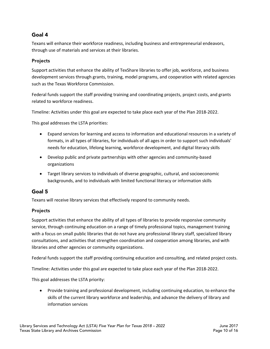#### <span id="page-9-0"></span>Goal 4

Texans will enhance their workforce readiness, including business and entrepreneurial endeavors, through use of materials and services at their libraries.

#### Projects

Support activities that enhance the ability of TexShare libraries to offer job, workforce, and business development services through grants, training, model programs, and cooperation with related agencies such as the Texas Workforce Commission.

Federal funds support the staff providing training and coordinating projects, project costs, and grants related to workforce readiness.

Timeline: Activities under this goal are expected to take place each year of the Plan 2018-2022.

This goal addresses the LSTA priorities:

- Expand services for learning and access to information and educational resources in a variety of formats, in all types of libraries, for individuals of all ages in order to support such individuals' needs for education, lifelong learning, workforce development, and digital literacy skills
- Develop public and private partnerships with other agencies and community-based organizations
- Target library services to individuals of diverse geographic, cultural, and socioeconomic backgrounds, and to individuals with limited functional literacy or information skills

#### Goal 5

Texans will receive library services that effectively respond to community needs.

#### Projects

Support activities that enhance the ability of all types of libraries to provide responsive community service, through continuing education on a range of timely professional topics, management training with a focus on small public libraries that do not have any professional library staff, specialized library consultations, and activities that strengthen coordination and cooperation among libraries, and with libraries and other agencies or community organizations.

Federal funds support the staff providing continuing education and consulting, and related project costs.

Timeline: Activities under this goal are expected to take place each year of the Plan 2018-2022.

This goal addresses the LSTA priority:

 Provide training and professional development, including continuing education, to enhance the skills of the current library workforce and leadership, and advance the delivery of library and information services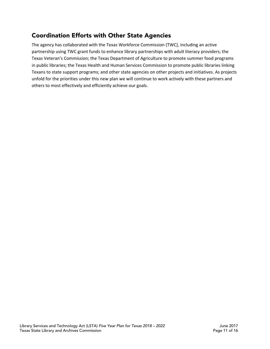## <span id="page-10-0"></span>Coordination Efforts with Other State Agencies

The agency has collaborated with the Texas Workforce Commission (TWC), including an active partnership using TWC grant funds to enhance library partnerships with adult literacy providers; the Texas Veteran's Commission; the Texas Department of Agriculture to promote summer food programs in public libraries; the Texas Health and Human Services Commission to promote public libraries linking Texans to state support programs; and other state agencies on other projects and initiatives. As projects unfold for the priorities under this new plan we will continue to work actively with these partners and others to most effectively and efficiently achieve our goals.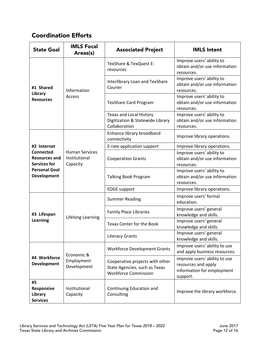## <span id="page-11-0"></span>Coordination Efforts

| <b>State Goal</b>                                                                                             | <b>IMLS Focal</b><br>Areas(s)                      | <b>Associated Project</b>                                                                       | <b>IMLS Intent</b>                                                                             |
|---------------------------------------------------------------------------------------------------------------|----------------------------------------------------|-------------------------------------------------------------------------------------------------|------------------------------------------------------------------------------------------------|
| #1 Shared<br>Library<br><b>Resources</b>                                                                      | Information<br><b>Access</b>                       | TexShare & TexQuest E-<br>resources                                                             | Improve users' ability to<br>obtain and/or use information<br>resources.                       |
|                                                                                                               |                                                    | Interlibrary Loan and TexShare<br>Courier                                                       | Improve users' ability to<br>obtain and/or use information<br>resources.                       |
|                                                                                                               |                                                    | <b>TexShare Card Program</b>                                                                    | Improve users' ability to<br>obtain and/or use information<br>resources.                       |
|                                                                                                               |                                                    | <b>Texas and Local History</b><br>Digitization & Statewide Library<br>Collaboration             | Improve users' ability to<br>obtain and/or use information<br>resources.                       |
|                                                                                                               | <b>Human Services</b><br>Institutional<br>Capacity | Enhance library broadband<br>connectivity                                                       | Improve library operations.                                                                    |
| #2 Internet                                                                                                   |                                                    | E-rate application support                                                                      | Improve library operations.                                                                    |
| <b>Connected</b><br><b>Resources and</b><br><b>Services for</b><br><b>Personal Goal</b><br><b>Development</b> |                                                    | <b>Cooperation Grants</b>                                                                       | Improve users' ability to<br>obtain and/or use information<br>resources.                       |
|                                                                                                               |                                                    | Talking Book Program                                                                            | Improve users' ability to<br>obtain and/or use information<br>resources.                       |
|                                                                                                               |                                                    | <b>EDGE</b> support                                                                             | Improve library operations.                                                                    |
| #3 Lifespan<br><b>Learning</b>                                                                                | <b>Lifelong Learning</b>                           | <b>Summer Reading</b>                                                                           | Improve users' formal<br>education.                                                            |
|                                                                                                               |                                                    | <b>Family Place Libraries</b>                                                                   | Improve users' general<br>knowledge and skills.                                                |
|                                                                                                               |                                                    | Texas Center for the Book                                                                       | Improve users' general<br>knowledge and skills.                                                |
|                                                                                                               |                                                    | <b>Literacy Grants</b>                                                                          | Improve users' general<br>knowledge and skills.                                                |
| #4 Workforce<br><b>Development</b>                                                                            | Economic &<br>Employment<br>Development            | <b>Workforce Development Grants</b>                                                             | Improve users' ability to use<br>and apply business resources.                                 |
|                                                                                                               |                                                    | Cooperative projects with other<br>State Agencies, such as Texas<br><b>Workforce Commission</b> | Improve users' ability to use<br>resources and apply<br>information for employment<br>support. |
| #5<br><b>Responsive</b><br>Library<br><b>Services</b>                                                         | Institutional<br>Capacity                          | Continuing Education and<br>Consulting                                                          | Improve the library workforce.                                                                 |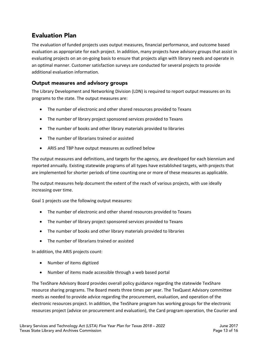## <span id="page-12-0"></span>Evaluation Plan

The evaluation of funded projects uses output measures, financial performance, and outcome based evaluation as appropriate for each project. In addition, many projects have advisory groups that assist in evaluating projects on an on-going basis to ensure that projects align with library needs and operate in an optimal manner. Customer satisfaction surveys are conducted for several projects to provide additional evaluation information.

#### Output measures and advisory groups

The Library Development and Networking Division (LDN) is required to report output measures on its programs to the state. The output measures are:

- The number of electronic and other shared resources provided to Texans
- The number of library project sponsored services provided to Texans
- The number of books and other library materials provided to libraries
- The number of librarians trained or assisted
- ARIS and TBP have output measures as outlined below

The output measures and definitions, and targets for the agency, are developed for each biennium and reported annually. Existing statewide programs of all types have established targets, with projects that are implemented for shorter periods of time counting one or more of these measures as applicable.

The output measures help document the extent of the reach of various projects, with use ideally increasing over time.

Goal 1 projects use the following output measures:

- The number of electronic and other shared resources provided to Texans
- The number of library project sponsored services provided to Texans
- The number of books and other library materials provided to libraries
- The number of librarians trained or assisted

In addition, the ARIS projects count:

- Number of items digitized
- Number of items made accessible through a web based portal

The TexShare Advisory Board provides overall policy guidance regarding the statewide TexShare resource sharing programs. The Board meets three times per year. The TexQuest Advisory committee meets as needed to provide advice regarding the procurement, evaluation, and operation of the electronic resources project. In addition, the TexShare program has working groups for the electronic resources project (advice on procurement and evaluation), the Card program operation, the Courier and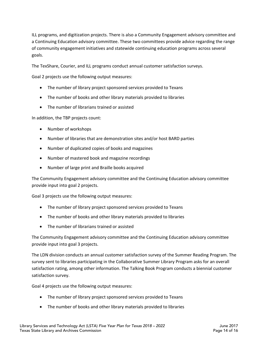ILL programs, and digitization projects. There is also a Community Engagement advisory committee and a Continuing Education advisory committee. These two committees provide advice regarding the range of community engagement initiatives and statewide continuing education programs across several goals.

The TexShare, Courier, and ILL programs conduct annual customer satisfaction surveys.

Goal 2 projects use the following output measures:

- The number of library project sponsored services provided to Texans
- The number of books and other library materials provided to libraries
- The number of librarians trained or assisted

In addition, the TBP projects count:

- Number of workshops
- Number of libraries that are demonstration sites and/or host BARD parties
- Number of duplicated copies of books and magazines
- Number of mastered book and magazine recordings
- Number of large print and Braille books acquired

The Community Engagement advisory committee and the Continuing Education advisory committee provide input into goal 2 projects.

Goal 3 projects use the following output measures:

- The number of library project sponsored services provided to Texans
- The number of books and other library materials provided to libraries
- The number of librarians trained or assisted

The Community Engagement advisory committee and the Continuing Education advisory committee provide input into goal 3 projects.

The LDN division conducts an annual customer satisfaction survey of the Summer Reading Program. The survey sent to libraries participating in the Collaborative Summer Library Program asks for an overall satisfaction rating, among other information. The Talking Book Program conducts a biennial customer satisfaction survey.

Goal 4 projects use the following output measures:

- The number of library project sponsored services provided to Texans
- The number of books and other library materials provided to libraries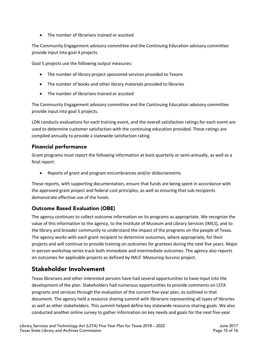<span id="page-14-0"></span>The number of librarians trained or assisted

The Community Engagement advisory committee and the Continuing Education advisory committee provide input into goal 4 projects.

Goal 5 projects use the following output measures:

- The number of library project sponsored services provided to Texans
- The number of books and other library materials provided to libraries
- The number of librarians trained or assisted

The Community Engagement advisory committee and the Continuing Education advisory committee provide input into goal 5 projects.

LDN conducts evaluations for each training event, and the overall satisfaction ratings for each event are used to determine customer satisfaction with the continuing education provided. These ratings are compiled annually to provide a statewide satisfaction rating.

#### Financial performance

Grant programs must report the following information at least quarterly or semi-annually, as well as a final report:

• Reports of grant and program encumbrances and/or disbursements

These reports, with supporting documentation, ensure that funds are being spent in accordance with the approved grant project and federal cost principles, as well as ensuring that sub-recipients demonstrate effective use of the funds.

#### Outcome Based Evaluation (OBE)

The agency continues to collect outcome information on its programs as appropriate. We recognize the value of this information to the agency, to the Institute of Museum and Library Services (IMLS), and to the library and broader community to understand the impact of the programs on the people of Texas. The agency works with each grant recipient to determine outcomes, where appropriate, for their projects and will continue to provide training on outcomes for grantees during the next five years. Major in-person workshop series track both immediate and intermediate outcomes. The agency also reports on outcomes for applicable projects as defined by IMLS' *Measuring Success* project.

## Stakeholder Involvement

Texas librarians and other interested persons have had several opportunities to have input into the development of the plan. Stakeholders had numerous opportunities to provide comments on LSTA programs and services through the evaluation of the current five-year plan, as outlined in that document. The agency held a resource sharing summit with librarians representing all types of libraries as well as other stakeholders. This summit helped define key statewide resource sharing goals. We also conducted another online survey to gather information on key needs and goals for the next five-year